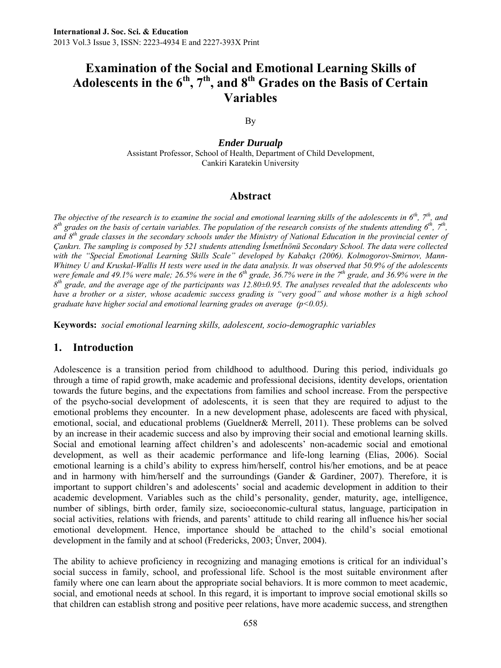# **Examination of the Social and Emotional Learning Skills of Adolescents in the 6th, 7th, and 8th Grades on the Basis of Certain Variables**

By

*Ender Durualp*  Assistant Professor, School of Health, Department of Child Development, Cankiri Karatekin University

#### **Abstract**

*The objective of the research is to examine the social and emotional learning skills of the adolescents in 6th, 7th, and*   $8<sup>th</sup>$  grades on the basis of certain variables. The population of the research consists of the students attending  $6<sup>th</sup>$ ,  $7<sup>th</sup>$ , *and 8th grade classes in the secondary schools under the Ministry of National Education in the provincial center of Çankırı. The sampling is composed by 521 students attending İsmetİnönü Secondary School. The data were collected with the "Special Emotional Learning Skills Scale" developed by Kabakçı (2006). Kolmogorov-Smirnov, Mann-Whitney U and Kruskal-Wallis H tests were used in the data analysis. It was observed that 50.9% of the adolescents were female and 49.1% were male; 26.5% were in the 6th grade, 36.7% were in the 7th grade, and 36.9% were in the 8th grade, and the average age of the participants was 12.80±0.95. The analyses revealed that the adolescents who*  have a brother or a sister, whose academic success grading is "very good" and whose mother is a high school *graduate have higher social and emotional learning grades on average (p<0.05).* 

**Keywords:** *social emotional learning skills, adolescent, socio-demographic variables* 

#### **1. Introduction**

Adolescence is a transition period from childhood to adulthood. During this period, individuals go through a time of rapid growth, make academic and professional decisions, identity develops, orientation towards the future begins, and the expectations from families and school increase. From the perspective of the psycho-social development of adolescents, it is seen that they are required to adjust to the emotional problems they encounter. In a new development phase, adolescents are faced with physical, emotional, social, and educational problems (Gueldner& Merrell, 2011). These problems can be solved by an increase in their academic success and also by improving their social and emotional learning skills. Social and emotional learning affect children's and adolescents' non-academic social and emotional development, as well as their academic performance and life-long learning (Elias, 2006). Social emotional learning is a child's ability to express him/herself, control his/her emotions, and be at peace and in harmony with him/herself and the surroundings (Gander & Gardiner, 2007). Therefore, it is important to support children's and adolescents' social and academic development in addition to their academic development. Variables such as the child's personality, gender, maturity, age, intelligence, number of siblings, birth order, family size, socioeconomic-cultural status, language, participation in social activities, relations with friends, and parents' attitude to child rearing all influence his/her social emotional development. Hence, importance should be attached to the child's social emotional development in the family and at school (Fredericks, 2003; Ünver, 2004).

The ability to achieve proficiency in recognizing and managing emotions is critical for an individual's social success in family, school, and professional life. School is the most suitable environment after family where one can learn about the appropriate social behaviors. It is more common to meet academic, social, and emotional needs at school. In this regard, it is important to improve social emotional skills so that children can establish strong and positive peer relations, have more academic success, and strengthen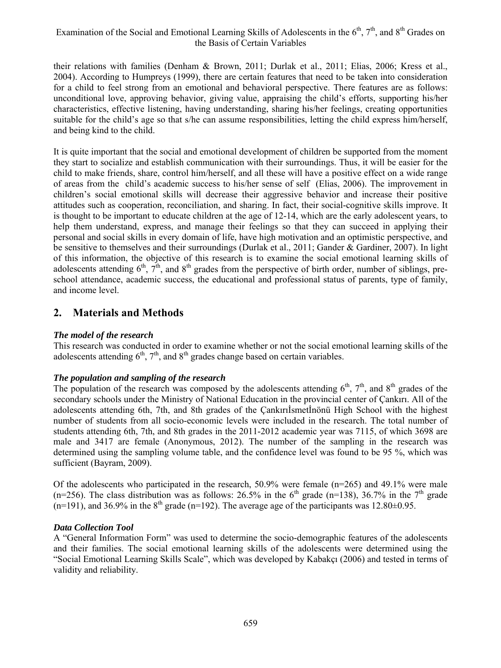### Examination of the Social and Emotional Learning Skills of Adolescents in the  $6<sup>th</sup>$ ,  $7<sup>th</sup>$ , and  $8<sup>th</sup>$  Grades on the Basis of Certain Variables

their relations with families (Denham & Brown, 2011; Durlak et al., 2011; Elias, 2006; Kress et al., 2004). According to Humpreys (1999), there are certain features that need to be taken into consideration for a child to feel strong from an emotional and behavioral perspective. There features are as follows: unconditional love, approving behavior, giving value, appraising the child's efforts, supporting his/her characteristics, effective listening, having understanding, sharing his/her feelings, creating opportunities suitable for the child's age so that s/he can assume responsibilities, letting the child express him/herself, and being kind to the child.

It is quite important that the social and emotional development of children be supported from the moment they start to socialize and establish communication with their surroundings. Thus, it will be easier for the child to make friends, share, control him/herself, and all these will have a positive effect on a wide range of areas from the child's academic success to his/her sense of self (Elias, 2006). The improvement in children's social emotional skills will decrease their aggressive behavior and increase their positive attitudes such as cooperation, reconciliation, and sharing. In fact, their social-cognitive skills improve. It is thought to be important to educate children at the age of 12-14, which are the early adolescent years, to help them understand, express, and manage their feelings so that they can succeed in applying their personal and social skills in every domain of life, have high motivation and an optimistic perspective, and be sensitive to themselves and their surroundings (Durlak et al., 2011; Gander & Gardiner, 2007). In light of this information, the objective of this research is to examine the social emotional learning skills of adolescents attending  $6<sup>th</sup>$ ,  $7<sup>th</sup>$ , and  $8<sup>th</sup>$  grades from the perspective of birth order, number of siblings, preschool attendance, academic success, the educational and professional status of parents, type of family, and income level.

# **2. Materials and Methods**

#### *The model of the research*

This research was conducted in order to examine whether or not the social emotional learning skills of the adolescents attending  $6<sup>th</sup>$ ,  $7<sup>th</sup>$ , and  $8<sup>th</sup>$  grades change based on certain variables.

#### *The population and sampling of the research*

The population of the research was composed by the adolescents attending  $6<sup>th</sup>$ ,  $7<sup>th</sup>$ , and  $8<sup>th</sup>$  grades of the secondary schools under the Ministry of National Education in the provincial center of Çankırı. All of the adolescents attending 6th, 7th, and 8th grades of the Çankırıİsmetİnönü High School with the highest number of students from all socio-economic levels were included in the research. The total number of students attending 6th, 7th, and 8th grades in the 2011-2012 academic year was 7115, of which 3698 are male and 3417 are female (Anonymous, 2012). The number of the sampling in the research was determined using the sampling volume table, and the confidence level was found to be 95 %, which was sufficient (Bayram, 2009).

Of the adolescents who participated in the research, 50.9% were female (n=265) and 49.1% were male (n=256). The class distribution was as follows: 26.5% in the 6<sup>th</sup> grade (n=138), 36.7% in the 7<sup>th</sup> grade  $(n=191)$ , and 36.9% in the 8<sup>th</sup> grade (n=192). The average age of the participants was 12.80 $\pm$ 0.95.

#### *Data Collection Tool*

A "General Information Form" was used to determine the socio-demographic features of the adolescents and their families. The social emotional learning skills of the adolescents were determined using the "Social Emotional Learning Skills Scale", which was developed by Kabakçı (2006) and tested in terms of validity and reliability.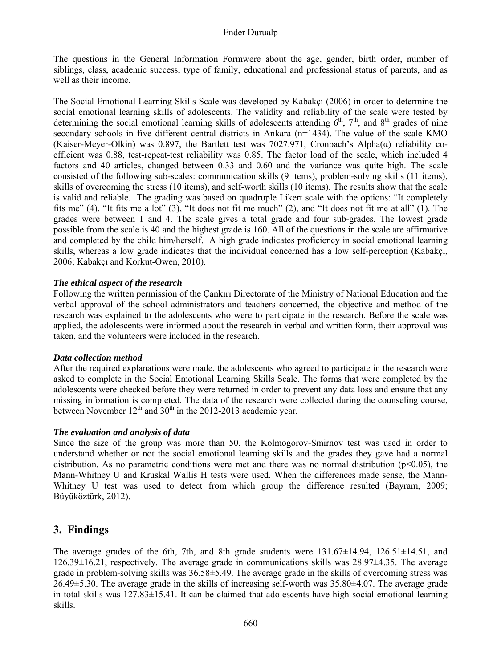#### Ender Durualp

The questions in the General Information Formwere about the age, gender, birth order, number of siblings, class, academic success, type of family, educational and professional status of parents, and as well as their income.

The Social Emotional Learning Skills Scale was developed by Kabakçı (2006) in order to determine the social emotional learning skills of adolescents. The validity and reliability of the scale were tested by determining the social emotional learning skills of adolescents attending  $6<sup>th</sup>$ ,  $7<sup>th</sup>$ , and  $8<sup>th</sup>$  grades of nine secondary schools in five different central districts in Ankara (n=1434). The value of the scale KMO (Kaiser-Meyer-Olkin) was 0.897, the Bartlett test was 7027.971, Cronbach's Alpha(α) reliability coefficient was 0.88, test-repeat-test reliability was 0.85. The factor load of the scale, which included 4 factors and 40 articles, changed between 0.33 and 0.60 and the variance was quite high. The scale consisted of the following sub-scales: communication skills (9 items), problem-solving skills (11 items), skills of overcoming the stress (10 items), and self-worth skills (10 items). The results show that the scale is valid and reliable. The grading was based on quadruple Likert scale with the options: "It completely fits me" (4), "It fits me a lot" (3), "It does not fit me much" (2), and "It does not fit me at all" (1). The grades were between 1 and 4. The scale gives a total grade and four sub-grades. The lowest grade possible from the scale is 40 and the highest grade is 160. All of the questions in the scale are affirmative and completed by the child him/herself. A high grade indicates proficiency in social emotional learning skills, whereas a low grade indicates that the individual concerned has a low self-perception (Kabakçı, 2006; Kabakçı and Korkut-Owen, 2010).

#### *The ethical aspect of the research*

Following the written permission of the Çankırı Directorate of the Ministry of National Education and the verbal approval of the school administrators and teachers concerned, the objective and method of the research was explained to the adolescents who were to participate in the research. Before the scale was applied, the adolescents were informed about the research in verbal and written form, their approval was taken, and the volunteers were included in the research.

#### *Data collection method*

After the required explanations were made, the adolescents who agreed to participate in the research were asked to complete in the Social Emotional Learning Skills Scale. The forms that were completed by the adolescents were checked before they were returned in order to prevent any data loss and ensure that any missing information is completed. The data of the research were collected during the counseling course, between November  $12<sup>th</sup>$  and  $30<sup>th</sup>$  in the 2012-2013 academic year.

#### *The evaluation and analysis of data*

Since the size of the group was more than 50, the Kolmogorov-Smirnov test was used in order to understand whether or not the social emotional learning skills and the grades they gave had a normal distribution. As no parametric conditions were met and there was no normal distribution  $(p<0.05)$ , the Mann-Whitney U and Kruskal Wallis H tests were used. When the differences made sense, the Mann-Whitney U test was used to detect from which group the difference resulted (Bayram, 2009; Büyüköztürk, 2012).

## **3. Findings**

The average grades of the 6th, 7th, and 8th grade students were  $131.67\pm14.94$ ,  $126.51\pm14.51$ , and 126.39±16.21, respectively. The average grade in communications skills was 28.97±4.35. The average grade in problem-solving skills was 36.58±5.49. The average grade in the skills of overcoming stress was 26.49±5.30. The average grade in the skills of increasing self-worth was 35.80±4.07. The average grade in total skills was 127.83±15.41. It can be claimed that adolescents have high social emotional learning skills.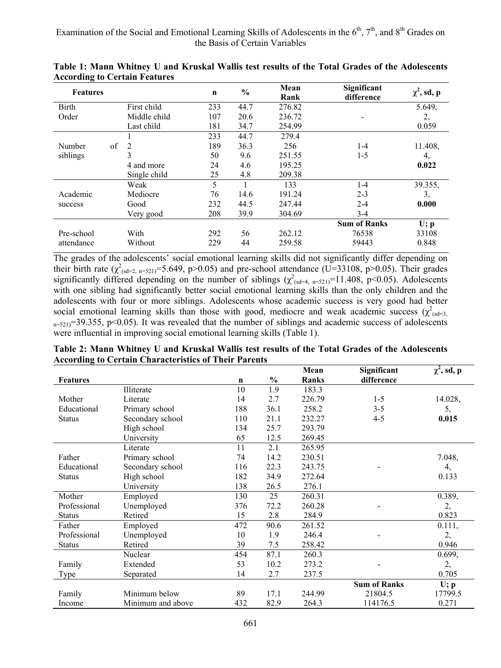| <b>Features</b> |              | $\mathbf n$ | $\frac{0}{0}$ | Mean<br>Rank | Significant<br>difference | $\chi^2$ , sd, p |
|-----------------|--------------|-------------|---------------|--------------|---------------------------|------------------|
| Birth           | First child  | 233         | 44.7          | 276.82       |                           | 5.649.           |
| Order           | Middle child | 107         | 20.6          | 236.72       |                           | 2,               |
|                 | Last child   | 181         | 34.7          | 254.99       |                           | 0.059            |
|                 |              | 233         | 44.7          | 279.4        |                           |                  |
| of<br>Number    | 2            | 189         | 36.3          | 256          | $1 - 4$                   | 11.408,          |
| siblings        | 3            | 50          | 9.6           | 251.55       | $1 - 5$                   | 4,               |
|                 | 4 and more   | 24          | 4.6           | 195.25       |                           | 0.022            |
|                 | Single child | 25          | 4.8           | 209.38       |                           |                  |
|                 | Weak         | 5           |               | 133          | $1 - 4$                   | 39.355.          |
| Academic        | Mediocre     | 76          | 14.6          | 191.24       | $2 - 3$                   | 3,               |
| success         | Good         | 232         | 44.5          | 247.44       | $2 - 4$                   | 0.000            |
|                 | Very good    | 208         | 39.9          | 304.69       | $3-4$                     |                  |
|                 |              |             |               |              | <b>Sum of Ranks</b>       | U; p             |
| Pre-school      | With         | 292         | 56            | 262.12       | 76538                     | 33108            |
| attendance      | Without      | 229         | 44            | 259.58       | 59443                     | 0.848            |

**Table 1: Mann Whitney U and Kruskal Wallis test results of the Total Grades of the Adolescents According to Certain Features** 

The grades of the adolescents' social emotional learning skills did not significantly differ depending on their birth rate  $(\chi^2_{(sd=2, n=521)}=5.649, p>0.05)$  and pre-school attendance (U=33108, p>0.05). Their grades significantly differed depending on the number of siblings  $(\chi^2_{\text{csd}=4, n=521)}$ =11.408, p<0.05). Adolescents with one sibling had significantly better social emotional learning skills than the only children and the adolescents with four or more siblings. Adolescents whose academic success is very good had better social emotional learning skills than those with good, mediocre and weak academic success  $(\chi^2_{\text{csd=3}})$  $n=521$ )=39.355, p<0.05). It was revealed that the number of siblings and academic success of adolescents were influential in improving social emotional learning skills (Table 1).

**Table 2: Mann Whitney U and Kruskal Wallis test results of the Total Grades of the Adolescents According to Certain Characteristics of Their Parents** 

|                 |                   |             |               | Mean         | Significant         | $\chi^2$ , sd, p |
|-----------------|-------------------|-------------|---------------|--------------|---------------------|------------------|
| <b>Features</b> |                   | $\mathbf n$ | $\frac{6}{9}$ | <b>Ranks</b> | difference          |                  |
|                 | Illiterate        | 10          | 1.9           | 183.3        |                     |                  |
| Mother          | Literate          | 14          | 2.7           | 226.79       | $1 - 5$             | 14.028,          |
| Educational     | Primary school    | 188         | 36.1          | 258.2        | $3 - 5$             | 5,               |
| <b>Status</b>   | Secondary school  | 110         | 21.1          | 232.27       | $4 - 5$             | 0.015            |
|                 | High school       | 134         | 25.7          | 293.79       |                     |                  |
|                 | University        | 65          | 12.5          | 269.45       |                     |                  |
|                 | Literate          | 11          | 2.1           | 265.95       |                     |                  |
| Father          | Primary school    | 74          | 14.2          | 230.51       |                     | 7.048,           |
| Educational     | Secondary school  | 116         | 22.3          | 243.75       |                     | 4,               |
| <b>Status</b>   | High school       | 182         | 34.9          | 272.64       |                     | 0.133            |
|                 | University        | 138         | 26.5          | 276.1        |                     |                  |
| Mother          | Employed          | 130         | 25            | 260.31       |                     | 0.389,           |
| Professional    | Unemployed        | 376         | 72.2          | 260.28       |                     | 2,               |
| <b>Status</b>   | Retired           | 15          | 2.8           | 284.9        |                     | 0.823            |
| Father          | Employed          | 472         | 90.6          | 261.52       |                     | 0.111,           |
| Professional    | Unemployed        | 10          | 1.9           | 246.4        |                     | 2,               |
| <b>Status</b>   | Retired           | 39          | 7.5           | 258.42       |                     | 0.946            |
|                 | Nuclear           | 454         | 87.1          | 260.3        |                     | 0.699,           |
| Family          | Extended          | 53          | 10.2          | 273.2        |                     | 2,               |
| <b>Type</b>     | Separated         | 14          | 2.7           | 237.5        |                     | 0.705            |
|                 |                   |             |               |              | <b>Sum of Ranks</b> | U; p             |
| Family          | Minimum below     | 89          | 17.1          | 244.99       | 21804.5             | 17799.5          |
| Income          | Minimum and above | 432         | 82.9          | 264.3        | 114176.5            | 0.271            |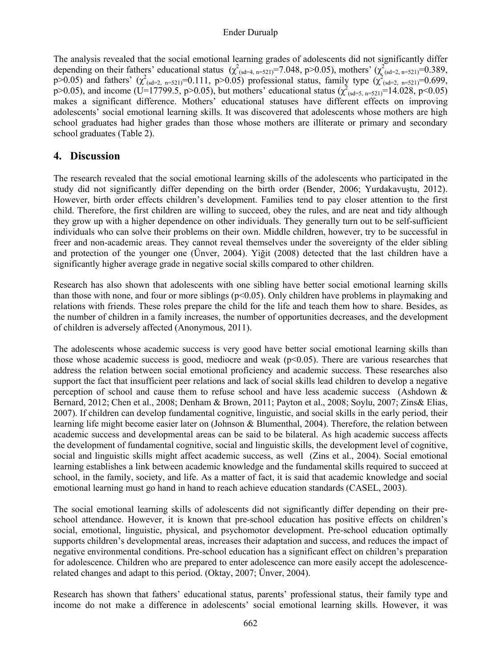#### Ender Durualp

The analysis revealed that the social emotional learning grades of adolescents did not significantly differ depending on their fathers' educational status  $(\chi^2_{(sd=4, n=521)}=7.048, p>0.05)$ , mothers'  $(\chi^2_{(sd=2, n=521)}=0.389,$  $p > 0.05$ ) and fathers'  $(\chi^2_{(sd=2, n=521)} = 0.111, p > 0.05)$  professional status, family type  $(\chi^2_{(sd=2, n=521)} = 0.699,$ p>0.05), and income (U=17799.5, p>0.05), but mothers' educational status ( $\chi^2_{(sd=5, n=521)}$ =14.028, p<0.05) makes a significant difference. Mothers' educational statuses have different effects on improving adolescents' social emotional learning skills. It was discovered that adolescents whose mothers are high school graduates had higher grades than those whose mothers are illiterate or primary and secondary school graduates (Table 2).

### **4. Discussion**

The research revealed that the social emotional learning skills of the adolescents who participated in the study did not significantly differ depending on the birth order (Bender, 2006; Yurdakavuştu, 2012). However, birth order effects children's development. Families tend to pay closer attention to the first child. Therefore, the first children are willing to succeed, obey the rules, and are neat and tidy although they grow up with a higher dependence on other individuals. They generally turn out to be self-sufficient individuals who can solve their problems on their own. Middle children, however, try to be successful in freer and non-academic areas. They cannot reveal themselves under the sovereignty of the elder sibling and protection of the younger one (Ünver, 2004). Yiğit (2008) detected that the last children have a significantly higher average grade in negative social skills compared to other children.

Research has also shown that adolescents with one sibling have better social emotional learning skills than those with none, and four or more siblings ( $p<0.05$ ). Only children have problems in playmaking and relations with friends. These roles prepare the child for the life and teach them how to share. Besides, as the number of children in a family increases, the number of opportunities decreases, and the development of children is adversely affected (Anonymous, 2011).

The adolescents whose academic success is very good have better social emotional learning skills than those whose academic success is good, mediocre and weak ( $p<0.05$ ). There are various researches that address the relation between social emotional proficiency and academic success. These researches also support the fact that insufficient peer relations and lack of social skills lead children to develop a negative perception of school and cause them to refuse school and have less academic success (Ashdown & Bernard, 2012; Chen et al., 2008; Denham & Brown, 2011; Payton et al., 2008; Soylu, 2007; Zins& Elias, 2007). If children can develop fundamental cognitive, linguistic, and social skills in the early period, their learning life might become easier later on (Johnson & Blumenthal, 2004). Therefore, the relation between academic success and developmental areas can be said to be bilateral. As high academic success affects the development of fundamental cognitive, social and linguistic skills, the development level of cognitive, social and linguistic skills might affect academic success, as well (Zins et al., 2004). Social emotional learning establishes a link between academic knowledge and the fundamental skills required to succeed at school, in the family, society, and life. As a matter of fact, it is said that academic knowledge and social emotional learning must go hand in hand to reach achieve education standards (CASEL, 2003).

The social emotional learning skills of adolescents did not significantly differ depending on their preschool attendance. However, it is known that pre-school education has positive effects on children's social, emotional, linguistic, physical, and psychomotor development. Pre-school education optimally supports children's developmental areas, increases their adaptation and success, and reduces the impact of negative environmental conditions. Pre-school education has a significant effect on children's preparation for adolescence. Children who are prepared to enter adolescence can more easily accept the adolescencerelated changes and adapt to this period. (Oktay, 2007; Ünver, 2004).

Research has shown that fathers' educational status, parents' professional status, their family type and income do not make a difference in adolescents' social emotional learning skills. However, it was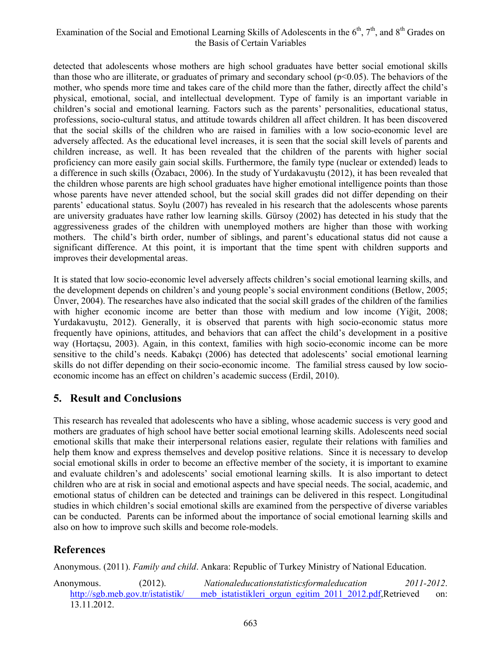## Examination of the Social and Emotional Learning Skills of Adolescents in the 6<sup>th</sup>, 7<sup>th</sup>, and 8<sup>th</sup> Grades on the Basis of Certain Variables

detected that adolescents whose mothers are high school graduates have better social emotional skills than those who are illiterate, or graduates of primary and secondary school ( $p<0.05$ ). The behaviors of the mother, who spends more time and takes care of the child more than the father, directly affect the child's physical, emotional, social, and intellectual development. Type of family is an important variable in children's social and emotional learning. Factors such as the parents' personalities, educational status, professions, socio-cultural status, and attitude towards children all affect children. It has been discovered that the social skills of the children who are raised in families with a low socio-economic level are adversely affected. As the educational level increases, it is seen that the social skill levels of parents and children increase, as well. It has been revealed that the children of the parents with higher social proficiency can more easily gain social skills. Furthermore, the family type (nuclear or extended) leads to a difference in such skills (Özabacı, 2006). In the study of Yurdakavuştu (2012), it has been revealed that the children whose parents are high school graduates have higher emotional intelligence points than those whose parents have never attended school, but the social skill grades did not differ depending on their parents' educational status. Soylu (2007) has revealed in his research that the adolescents whose parents are university graduates have rather low learning skills. Gürsoy (2002) has detected in his study that the aggressiveness grades of the children with unemployed mothers are higher than those with working mothers. The child's birth order, number of siblings, and parent's educational status did not cause a significant difference. At this point, it is important that the time spent with children supports and improves their developmental areas.

It is stated that low socio-economic level adversely affects children's social emotional learning skills, and the development depends on children's and young people's social environment conditions (Betlow, 2005; Ünver, 2004). The researches have also indicated that the social skill grades of the children of the families with higher economic income are better than those with medium and low income (Yiğit, 2008; Yurdakavuştu, 2012). Generally, it is observed that parents with high socio-economic status more frequently have opinions, attitudes, and behaviors that can affect the child's development in a positive way (Hortaçsu, 2003). Again, in this context, families with high socio-economic income can be more sensitive to the child's needs. Kabakçı (2006) has detected that adolescents' social emotional learning skills do not differ depending on their socio-economic income. The familial stress caused by low socioeconomic income has an effect on children's academic success (Erdil, 2010).

# **5. Result and Conclusions**

This research has revealed that adolescents who have a sibling, whose academic success is very good and mothers are graduates of high school have better social emotional learning skills. Adolescents need social emotional skills that make their interpersonal relations easier, regulate their relations with families and help them know and express themselves and develop positive relations. Since it is necessary to develop social emotional skills in order to become an effective member of the society, it is important to examine and evaluate children's and adolescents' social emotional learning skills. It is also important to detect children who are at risk in social and emotional aspects and have special needs. The social, academic, and emotional status of children can be detected and trainings can be delivered in this respect. Longitudinal studies in which children's social emotional skills are examined from the perspective of diverse variables can be conducted. Parents can be informed about the importance of social emotional learning skills and also on how to improve such skills and become role-models.

# **References**

Anonymous. (2011). *Family and child*. Ankara: Republic of Turkey Ministry of National Education.

Anonymous. (2012). *Nationaleducationstatisticsformaleducation 2011-2012*. http://sgb.meb.gov.tr/istatistik/ meb\_istatistikleri\_orgun\_egitim\_2011\_2012.pdf,Retrieved on: 13.11.2012.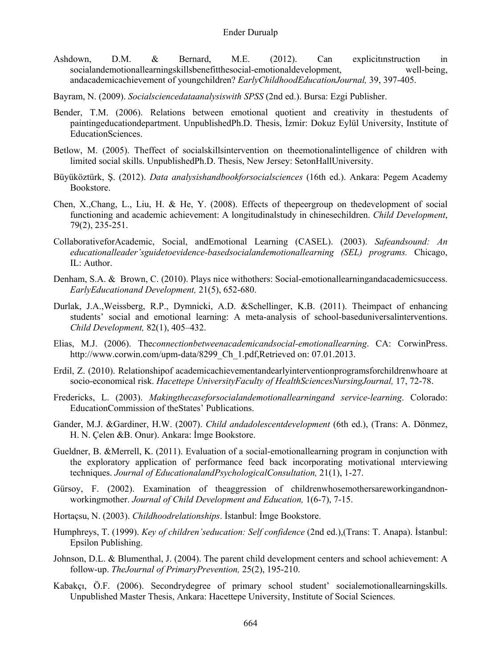- Ashdown, D.M. & Bernard, M.E. (2012). Can explicitınstruction in socialandemotionallearningskillsbenefitthesocial-emotionaldevelopment, well-being, andacademicachievement of youngchildren? *EarlyChildhoodEducationJournal,* 39, 397-405.
- Bayram, N. (2009). *Socialsciencedataanalysiswith SPSS* (2nd ed.). Bursa: Ezgi Publisher.
- Bender, T.M. (2006). Relations between emotional quotient and creativity in thestudents of paintingeducationdepartment. UnpublishedPh.D. Thesis, İzmir: Dokuz Eylül University, Institute of EducationSciences.
- Betlow, M. (2005). Theffect of socialskillsintervention on theemotionalintelligence of children with limited social skills. UnpublishedPh.D. Thesis, New Jersey: SetonHallUniversity.
- Büyüköztürk, Ş. (2012). *Data analysishandbookforsocialsciences* (16th ed.). Ankara: Pegem Academy Bookstore.
- Chen, X.,Chang, L., Liu, H. & He, Y. (2008). Effects of thepeergroup on thedevelopment of social functioning and academic achievement: A longitudinalstudy in chinesechildren. *Child Development*, 79(2), 235-251.
- CollaborativeforAcademic, Social, andEmotional Learning (CASEL). (2003). *Safeandsound: An educationalleader'sguidetoevidence-basedsocialandemotionallearning (SEL) programs.* Chicago, IL: Author.
- Denham, S.A. & Brown, C. (2010). Plays nice withothers: Social-emotionallearningandacademicsuccess. *EarlyEducationand Development,* 21(5), 652-680.
- Durlak, J.A.,Weissberg, R.P., Dymnicki, A.D. &Schellinger, K.B. (2011). Theimpact of enhancing students' social and emotional learning: A meta-analysis of school-baseduniversalinterventions. *Child Development,* 82(1), 405–432.
- Elias, M.J. (2006). The*connectionbetweenacademicandsocial-emotionallearning*. CA: CorwinPress. http://www.corwin.com/upm-data/8299\_Ch\_1.pdf,Retrieved on: 07.01.2013.
- Erdil, Z. (2010). Relationshipof academicachievementandearlyinterventionprogramsforchildrenwhoare at socio-economical risk. *Hacettepe UniversityFaculty of HealthSciencesNursingJournal,* 17, 72-78.
- Fredericks, L. (2003). *Makingthecaseforsocialandemotionallearningand service-learning*. Colorado: EducationCommission of theStates' Publications.
- Gander, M.J. &Gardiner, H.W. (2007). *Child andadolescentdevelopment* (6th ed.), (Trans: A. Dönmez, H. N. Çelen &B. Onur). Ankara: İmge Bookstore.
- Gueldner, B. &Merrell, K. (2011). Evaluation of a social-emotionallearning program in conjunction with the exploratory application of performance feed back incorporating motivational ınterviewing techniques. *Journal of EducationalandPsychologicalConsultation,* 21(1), 1-27.
- Gürsoy, F. (2002). Examination of theaggression of childrenwhosemothersareworkingandnonworkingmother. *Journal of Child Development and Education,* 1(6-7), 7-15.
- Hortaçsu, N. (2003). *Childhoodrelationships*. İstanbul: İmge Bookstore.
- Humphreys, T. (1999). *Key of children'seducation: Self confidence* (2nd ed.),(Trans: T. Anapa). İstanbul: Epsilon Publishing.
- Johnson, D.L. & Blumenthal, J. (2004). The parent child development centers and school achievement: A follow-up. *TheJournal of PrimaryPrevention,* 25(2), 195-210.
- Kabakçı, Ö.F. (2006). Secondrydegree of primary school student' socialemotionallearningskills. Unpublished Master Thesis, Ankara: Hacettepe University, Institute of Social Sciences.